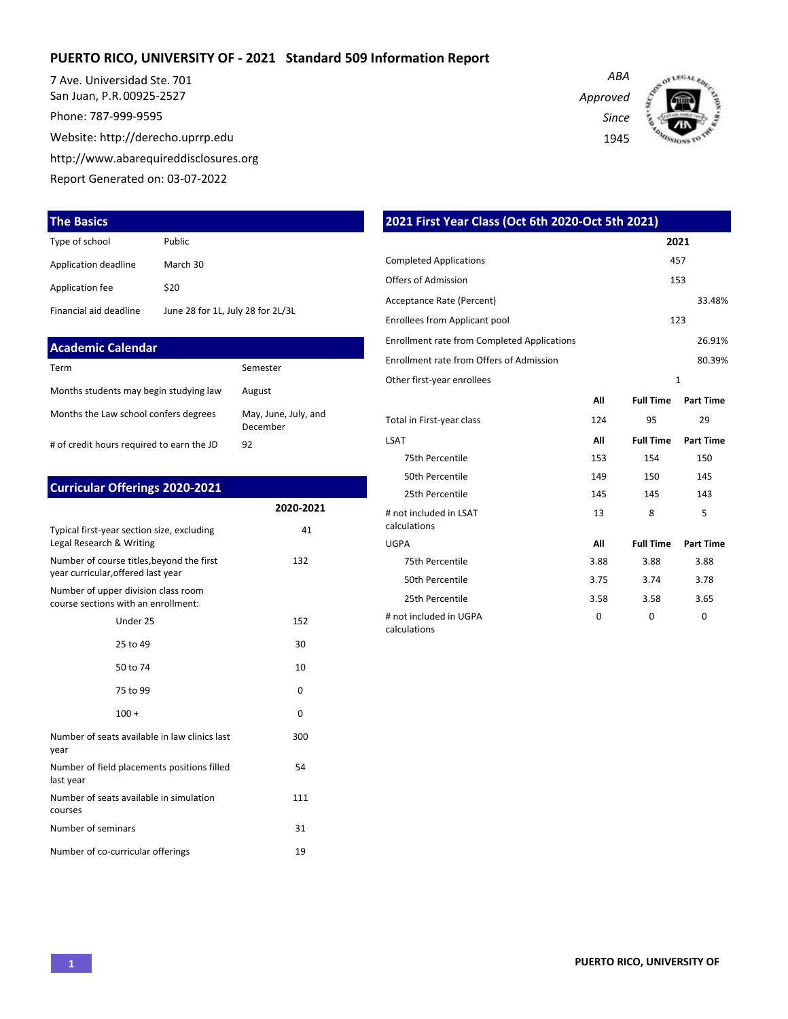#### **PUERTO RICO, UNIVERSITY OF - 2021 Standard 509 Information Report**

7 Ave. Universidad Ste. 701 San Juan, P.R. 00925-2527

Phone: 787-999-9595

Website: http://derecho.uprrp.edu

http://www.abarequireddisclosures.org

Report Generated on: 03-07-2022

#### **The Basics**

| Type of school         | Public                            |
|------------------------|-----------------------------------|
| Application deadline   | March 30                          |
| Application fee        | \$20                              |
| Financial aid deadline | June 28 for 1L, July 28 for 2L/3L |

| <b>Academic Calendar</b>                  |                                  |
|-------------------------------------------|----------------------------------|
| Term                                      | Semester                         |
| Months students may begin studying law    | August                           |
| Months the Law school confers degrees     | May, June, July, and<br>December |
| # of credit hours required to earn the JD | 92                               |

|  | <b>Curricular Offerings 2020-2021</b> |  |
|--|---------------------------------------|--|
|--|---------------------------------------|--|

|                                                                                 | 2020-2021 |
|---------------------------------------------------------------------------------|-----------|
| Typical first-year section size, excluding<br>Legal Research & Writing          | 41        |
| Number of course titles, beyond the first<br>year curricular, offered last year | 132       |
| Number of upper division class room<br>course sections with an enrollment:      |           |
| Under 25                                                                        | 152       |
| 25 to 49                                                                        | 30        |
| 50 to 74                                                                        | 10        |
| 75 to 99                                                                        | 0         |
| $100 +$                                                                         | $\Omega$  |
| Number of seats available in law clinics last<br>year                           | 300       |
| Number of field placements positions filled<br>last year                        | 54        |
| Number of seats available in simulation<br>courses                              | 111       |
| Number of seminars                                                              | 31        |
| Number of co-curricular offerings                                               | 19        |

*ABA Approved Since*

1945



| 2021 First Year Class (Oct 6th 2020-Oct 5th 2021)  |      |                  |                  |  |  |  |  |  |  |  |  |  |
|----------------------------------------------------|------|------------------|------------------|--|--|--|--|--|--|--|--|--|
|                                                    |      | 2021             |                  |  |  |  |  |  |  |  |  |  |
| <b>Completed Applications</b>                      |      | 457              |                  |  |  |  |  |  |  |  |  |  |
| Offers of Admission                                |      |                  | 153              |  |  |  |  |  |  |  |  |  |
| Acceptance Rate (Percent)                          |      |                  | 33.48%           |  |  |  |  |  |  |  |  |  |
| <b>Enrollees from Applicant pool</b>               |      |                  | 123              |  |  |  |  |  |  |  |  |  |
| <b>Enrollment rate from Completed Applications</b> |      |                  | 26.91%           |  |  |  |  |  |  |  |  |  |
| Enrollment rate from Offers of Admission           |      |                  | 80.39%           |  |  |  |  |  |  |  |  |  |
| Other first-year enrollees                         |      |                  | $\mathbf{1}$     |  |  |  |  |  |  |  |  |  |
|                                                    | All  | <b>Full Time</b> | <b>Part Time</b> |  |  |  |  |  |  |  |  |  |
| Total in First-year class                          | 124  | 95               | 29               |  |  |  |  |  |  |  |  |  |
| <b>LSAT</b>                                        | All  | <b>Full Time</b> | <b>Part Time</b> |  |  |  |  |  |  |  |  |  |
| 75th Percentile                                    | 153  | 154              | 150              |  |  |  |  |  |  |  |  |  |
| 50th Percentile                                    | 149  | 150              | 145              |  |  |  |  |  |  |  |  |  |
| 25th Percentile                                    | 145  | 145              | 143              |  |  |  |  |  |  |  |  |  |
| # not included in LSAT<br>calculations             | 13   | 8                | 5                |  |  |  |  |  |  |  |  |  |
| <b>UGPA</b>                                        | All  | <b>Full Time</b> | <b>Part Time</b> |  |  |  |  |  |  |  |  |  |
| 75th Percentile                                    | 3.88 | 3.88             | 3.88             |  |  |  |  |  |  |  |  |  |
| 50th Percentile                                    | 3.75 | 3.74             | 3.78             |  |  |  |  |  |  |  |  |  |
| 25th Percentile                                    | 3.58 | 3.58             | 3.65             |  |  |  |  |  |  |  |  |  |
| # not included in UGPA<br>calculations             | 0    | 0                | 0                |  |  |  |  |  |  |  |  |  |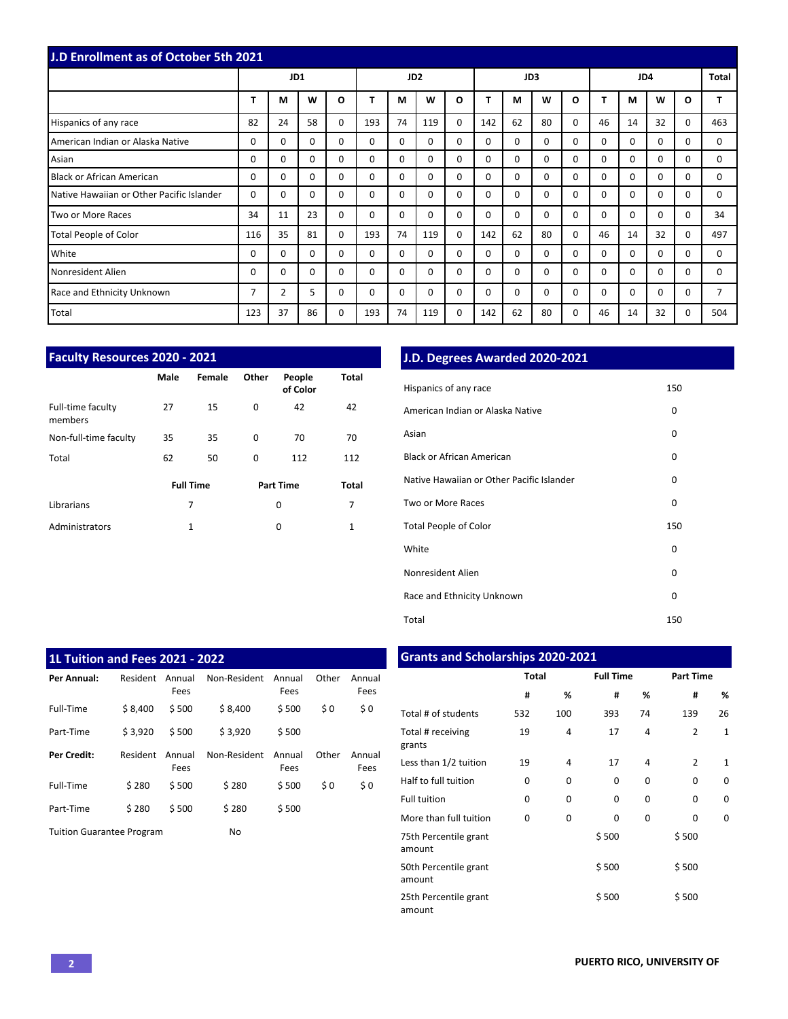| <b>J.D Enrollment as of October 5th 2021</b> |          |          |          |          |          |                 |          |          |          |    |             |          |          |          |          |          |          |
|----------------------------------------------|----------|----------|----------|----------|----------|-----------------|----------|----------|----------|----|-------------|----------|----------|----------|----------|----------|----------|
|                                              |          | JD1      |          |          |          | JD <sub>2</sub> |          |          |          |    | JD3         |          |          | JD4      |          |          | Total    |
|                                              | T        | M        | W        | O        |          | M               | W        | O        |          | м  | W           | O        | т        | м        | W        | O        |          |
| Hispanics of any race                        | 82       | 24       | 58       | 0        | 193      | 74              | 119      | $\Omega$ | 142      | 62 | 80          | $\Omega$ | 46       | 14       | 32       | $\Omega$ | 463      |
| American Indian or Alaska Native             | $\Omega$ | $\Omega$ | $\Omega$ | $\Omega$ | $\Omega$ | $\Omega$        | $\Omega$ | $\Omega$ | $\Omega$ | 0  | 0           | $\Omega$ | $\Omega$ | $\Omega$ | $\Omega$ | $\Omega$ | $\Omega$ |
| Asian                                        | 0        | $\Omega$ | 0        | 0        | $\Omega$ | $\Omega$        | $\Omega$ | $\Omega$ | $\Omega$ | 0  | 0           | $\Omega$ | $\Omega$ | $\Omega$ | $\Omega$ | $\Omega$ | 0        |
| Black or African American                    | 0        | $\Omega$ | 0        | $\Omega$ | $\Omega$ | $\Omega$        | $\Omega$ | $\Omega$ | 0        | 0  | $\Omega$    | $\Omega$ | 0        | $\Omega$ | $\Omega$ | $\Omega$ | $\Omega$ |
| Native Hawaiian or Other Pacific Islander    | 0        | $\Omega$ | $\Omega$ | $\Omega$ | $\Omega$ | $\Omega$        | $\Omega$ | $\Omega$ | 0        | 0  | $\mathbf 0$ | $\Omega$ | $\Omega$ | $\Omega$ | $\Omega$ | $\Omega$ | 0        |
| Two or More Races                            | 34       | 11       | 23       | $\Omega$ | $\Omega$ | $\Omega$        | $\Omega$ | $\Omega$ | 0        | 0  | $\mathbf 0$ | $\Omega$ | $\Omega$ | $\Omega$ | $\Omega$ | $\Omega$ | 34       |
| Total People of Color                        | 116      | 35       | 81       | $\Omega$ | 193      | 74              | 119      | $\Omega$ | 142      | 62 | 80          | $\Omega$ | 46       | 14       | 32       | $\Omega$ | 497      |
| White                                        | $\Omega$ | $\Omega$ | $\Omega$ | $\Omega$ | $\Omega$ | $\Omega$        | $\Omega$ | $\Omega$ | $\Omega$ | 0  | $\Omega$    | $\Omega$ | $\Omega$ | $\Omega$ | $\Omega$ | $\Omega$ | 0        |
| Nonresident Alien                            | $\Omega$ | $\Omega$ | $\Omega$ | $\Omega$ | $\Omega$ | $\Omega$        | $\Omega$ | $\Omega$ | 0        | 0  | $\Omega$    | $\Omega$ | $\Omega$ | $\Omega$ | $\Omega$ | $\Omega$ | $\Omega$ |
| Race and Ethnicity Unknown                   | 7        | 2        | 5.       | 0        | $\Omega$ | $\Omega$        | $\Omega$ | $\Omega$ | 0        | 0  | $\Omega$    | $\Omega$ | $\Omega$ | $\Omega$ | $\Omega$ | $\Omega$ |          |
| Total                                        | 123      | 37       | 86       | 0        | 193      | 74              | 119      | 0        | 142      | 62 | 80          | $\Omega$ | 46       | 14       | 32       | $\Omega$ | 504      |

| <b>Faculty Resources 2020 - 2021</b> |      |                  |       |                    |       |  |  |  |  |  |  |  |  |  |
|--------------------------------------|------|------------------|-------|--------------------|-------|--|--|--|--|--|--|--|--|--|
|                                      | Male | Female           | Other | People<br>of Color | Total |  |  |  |  |  |  |  |  |  |
| Full-time faculty<br>members         | 27   | 15               | 0     | 42                 | 42    |  |  |  |  |  |  |  |  |  |
| Non-full-time faculty                | 35   | 35               | 0     | 70                 | 70    |  |  |  |  |  |  |  |  |  |
| Total                                | 62   | 50               | 0     | 112                | 112   |  |  |  |  |  |  |  |  |  |
|                                      |      | <b>Full Time</b> |       | <b>Part Time</b>   | Total |  |  |  |  |  |  |  |  |  |
| Librarians                           |      | 7                |       | 0                  | 7     |  |  |  |  |  |  |  |  |  |
| Administrators                       |      | 1                |       | 0                  | 1     |  |  |  |  |  |  |  |  |  |

## **J.D. Degrees Awarded 2020-2021**

| Hispanics of any race                     | 150 |
|-------------------------------------------|-----|
| American Indian or Alaska Native          | 0   |
| Asian                                     | 0   |
| <b>Black or African American</b>          | 0   |
| Native Hawaiian or Other Pacific Islander | 0   |
| Two or More Races                         | 0   |
| <b>Total People of Color</b>              | 150 |
| White                                     | 0   |
| Nonresident Alien                         | 0   |
| Race and Ethnicity Unknown                | 0   |
| Total                                     | 150 |

| <b>1L Tuition and Fees 2021 - 2022</b> |          |                |              |                |       |                |
|----------------------------------------|----------|----------------|--------------|----------------|-------|----------------|
| Per Annual:                            | Resident | Annual<br>Fees | Non-Resident | Annual<br>Fees | Other | Annual<br>Fees |
| Full-Time                              | \$8,400  | \$500          | \$8.400      | \$500          | \$0   | \$0            |
| Part-Time                              | \$3.920  | \$500          | \$3.920      | \$500          |       |                |
| Per Credit:                            | Resident | Annual<br>Fees | Non-Resident | Annual<br>Fees | Other | Annual<br>Fees |
| Full-Time                              | \$280    | \$500          | \$280        | \$500          | \$0   | \$0            |
| Part-Time                              | \$280    | \$500          | \$280        | \$500          |       |                |
| <b>Tuition Guarantee Program</b>       |          |                | No           |                |       |                |

## **Grants and Scholarships 2020-2021**

|                                 | Total    |     | <b>Full Time</b> |          | <b>Part Time</b> |              |  |  |  |
|---------------------------------|----------|-----|------------------|----------|------------------|--------------|--|--|--|
|                                 | #        | %   | #                | %        | #                | %            |  |  |  |
| Total # of students             | 532      | 100 | 393              | 74       | 139              | 26           |  |  |  |
| Total # receiving<br>grants     | 19       | 4   | 17               | 4        | $\overline{2}$   | $\mathbf{1}$ |  |  |  |
| Less than 1/2 tuition           | 19       | 4   | 17               | 4        | $\mathfrak{p}$   | $\mathbf{1}$ |  |  |  |
| Half to full tuition            | 0        | 0   | 0                | 0        | $\Omega$         | $\Omega$     |  |  |  |
| <b>Full tuition</b>             | 0        | 0   | $\Omega$         | 0        | $\Omega$         | 0            |  |  |  |
| More than full tuition          | $\Omega$ | 0   | 0                | $\Omega$ | $\Omega$         | $\Omega$     |  |  |  |
| 75th Percentile grant<br>amount |          |     | \$500            |          | \$500            |              |  |  |  |
| 50th Percentile grant<br>amount |          |     | \$500            |          | \$500            |              |  |  |  |
| 25th Percentile grant<br>amount |          |     | \$500            |          | \$500            |              |  |  |  |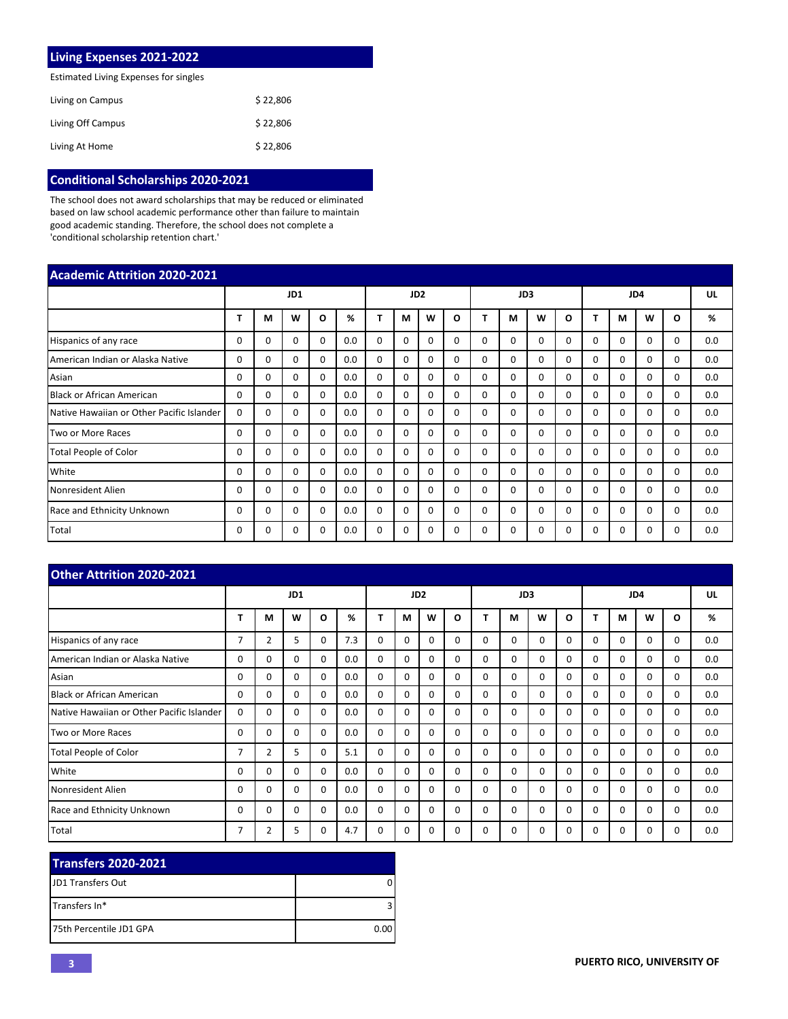| <b>Living Expenses 2021-2022</b>      |          |
|---------------------------------------|----------|
| Estimated Living Expenses for singles |          |
| Living on Campus                      | \$22.806 |
| Living Off Campus                     | \$22.806 |
| Living At Home                        | \$22,806 |

# **Conditional Scholarships 2020-2021**

The school does not award scholarships that may be reduced or eliminated based on law school academic performance other than failure to maintain good academic standing. Therefore, the school does not complete a 'conditional scholarship retention chart.'

| <b>Academic Attrition 2020-2021</b>       |          |          |          |          |     |                 |          |          |          |          |          |          |              |          |          |              |          |     |
|-------------------------------------------|----------|----------|----------|----------|-----|-----------------|----------|----------|----------|----------|----------|----------|--------------|----------|----------|--------------|----------|-----|
|                                           |          | JD1      |          |          |     | JD <sub>2</sub> |          |          | JD3      |          |          |          |              |          | JD4      |              | UL       |     |
|                                           |          | M        | W        | O        | %   |                 | M        | W        | O        |          | м        | W        | Ω            | т        | M        | W            | O        | %   |
| Hispanics of any race                     | 0        | 0        | $\Omega$ | 0        | 0.0 | $\Omega$        | $\Omega$ | 0        | $\Omega$ | $\Omega$ | $\Omega$ | $\Omega$ | 0            | $\Omega$ | 0        | <sup>0</sup> | $\Omega$ | 0.0 |
| American Indian or Alaska Native          | 0        | 0        | 0        | 0        | 0.0 | $\mathbf 0$     | 0        | $\Omega$ | $\Omega$ | 0        | 0        | 0        | 0            | 0        | 0        | $\Omega$     | $\Omega$ | 0.0 |
| Asian                                     | 0        | 0        | $\Omega$ | 0        | 0.0 | $\mathbf 0$     | $\Omega$ | $\Omega$ | $\Omega$ | $\Omega$ | $\Omega$ | $\Omega$ | $\Omega$     | $\Omega$ | $\Omega$ | 0            | $\Omega$ | 0.0 |
| <b>Black or African American</b>          | 0        | 0        | $\Omega$ | $\Omega$ | 0.0 | $\Omega$        | $\Omega$ | $\Omega$ | $\Omega$ | $\Omega$ | $\Omega$ | $\Omega$ | $\Omega$     | $\Omega$ | $\Omega$ | $\Omega$     | $\Omega$ | 0.0 |
| Native Hawaiian or Other Pacific Islander | $\Omega$ | $\Omega$ | $\Omega$ | $\Omega$ | 0.0 | $\mathbf 0$     | $\Omega$ | 0        | $\Omega$ | $\Omega$ | $\Omega$ | $\Omega$ | 0            | $\Omega$ | $\Omega$ | 0            | $\Omega$ | 0.0 |
| Two or More Races                         | 0        | $\Omega$ | $\Omega$ | $\Omega$ | 0.0 | $\Omega$        | $\Omega$ | 0        | $\Omega$ | $\Omega$ | $\Omega$ | $\Omega$ | $\Omega$     | $\Omega$ | $\Omega$ | $\Omega$     | $\Omega$ | 0.0 |
| <b>Total People of Color</b>              | 0        | $\Omega$ | $\Omega$ | $\Omega$ | 0.0 | $\Omega$        | $\Omega$ | $\Omega$ | $\Omega$ | $\Omega$ | $\Omega$ | $\Omega$ | $\Omega$     | $\Omega$ | $\Omega$ | $\Omega$     | $\Omega$ | 0.0 |
| White                                     | 0        | 0        | $\Omega$ | 0        | 0.0 | $\Omega$        | $\Omega$ | $\Omega$ | $\Omega$ | $\Omega$ | $\Omega$ | $\Omega$ | $\Omega$     | $\Omega$ | $\Omega$ | $\Omega$     | $\Omega$ | 0.0 |
| Nonresident Alien                         | 0        | 0        | $\Omega$ | $\Omega$ | 0.0 | $\mathbf 0$     | $\Omega$ | 0        | $\Omega$ | $\Omega$ | $\Omega$ | $\Omega$ | <sup>0</sup> | $\Omega$ | $\Omega$ | $\Omega$     | $\Omega$ | 0.0 |
| Race and Ethnicity Unknown                | 0        | 0        | $\Omega$ | 0        | 0.0 | $\mathbf 0$     | 0        | 0        | $\Omega$ | $\Omega$ | $\Omega$ | $\Omega$ | 0            | 0        | $\Omega$ | 0            | $\Omega$ | 0.0 |
| Total                                     | 0        | 0        | $\Omega$ | $\Omega$ | 0.0 | $\mathbf 0$     | $\Omega$ | 0        | $\Omega$ | $\Omega$ | $\Omega$ | $\Omega$ |              | 0        | 0        | 0            | $\Omega$ | 0.0 |

| <b>Other Attrition 2020-2021</b>          |                |                |    |                 |     |          |   |          |          |          |          |          |          |          |          |          |          |     |
|-------------------------------------------|----------------|----------------|----|-----------------|-----|----------|---|----------|----------|----------|----------|----------|----------|----------|----------|----------|----------|-----|
|                                           | JD1            |                |    | JD <sub>2</sub> |     |          |   | JD3      |          |          |          | JD4      |          |          |          | UL       |          |     |
|                                           | т              | М              | W  | 0               | %   | т        | М | W        | O        | т        | М        | W        | O        | т        | M        | W        | O        | %   |
| Hispanics of any race                     | $\overline{7}$ | $\overline{2}$ | 5  | 0               | 7.3 | $\Omega$ | 0 | $\Omega$ | $\Omega$ | $\Omega$ | $\Omega$ | $\Omega$ | $\Omega$ | $\Omega$ | $\Omega$ | $\Omega$ | $\Omega$ | 0.0 |
| American Indian or Alaska Native          | $\Omega$       | 0              | 0  | 0               | 0.0 | $\Omega$ | 0 | $\Omega$ | $\Omega$ | $\Omega$ | $\Omega$ | $\Omega$ | $\Omega$ | $\Omega$ | $\Omega$ | $\Omega$ | $\Omega$ | 0.0 |
| Asian                                     | 0              | 0              | 0  | 0               | 0.0 | 0        | 0 | $\Omega$ | $\Omega$ | $\Omega$ | $\Omega$ | $\Omega$ | $\Omega$ | 0        | $\Omega$ | $\Omega$ | 0        | 0.0 |
| Black or African American                 | 0              | 0              | 0  | $\Omega$        | 0.0 | $\Omega$ | 0 | $\Omega$ | $\Omega$ | $\Omega$ | $\Omega$ | $\Omega$ | $\Omega$ | 0        | $\Omega$ | $\Omega$ | $\Omega$ | 0.0 |
| Native Hawaiian or Other Pacific Islander | 0              | 0              | 0  | 0               | 0.0 | 0        | 0 | $\Omega$ | $\Omega$ | $\Omega$ | 0        | $\Omega$ | 0        | $\Omega$ | $\Omega$ | 0        | 0        | 0.0 |
| Two or More Races                         | 0              | 0              | 0  | 0               | 0.0 | 0        | 0 | $\Omega$ | $\Omega$ | $\Omega$ | $\Omega$ | $\Omega$ | $\Omega$ | $\Omega$ | $\Omega$ | $\Omega$ | $\Omega$ | 0.0 |
| Total People of Color                     | 7              | $\overline{2}$ | 5. | 0               | 5.1 | 0        | 0 | $\Omega$ | $\Omega$ | $\Omega$ | $\Omega$ | $\Omega$ | $\Omega$ | $\Omega$ | $\Omega$ | $\Omega$ | $\Omega$ | 0.0 |
| White                                     | 0              | 0              | 0  | $\mathbf 0$     | 0.0 | 0        | 0 | $\Omega$ | $\Omega$ | 0        | 0        | $\Omega$ | 0        | $\Omega$ | 0        | $\Omega$ | 0        | 0.0 |
| Nonresident Alien                         | 0              | 0              | 0  | $\Omega$        | 0.0 | $\Omega$ | 0 | $\Omega$ | $\Omega$ | $\Omega$ | $\Omega$ | $\Omega$ | $\Omega$ | 0        | $\Omega$ | $\Omega$ | 0        | 0.0 |
| Race and Ethnicity Unknown                | 0              | 0              | 0  | $\Omega$        | 0.0 | $\Omega$ | 0 | $\Omega$ | $\Omega$ | $\Omega$ | $\Omega$ | $\Omega$ | $\Omega$ | $\Omega$ | $\Omega$ | $\Omega$ | $\Omega$ | 0.0 |
| Total                                     | 7              | 2              | 5  | 0               | 4.7 | 0        | 0 | $\Omega$ | 0        | $\Omega$ | $\Omega$ | $\Omega$ | $\Omega$ | $\Omega$ | $\Omega$ | 0        | $\Omega$ | 0.0 |

| <b>Transfers 2020-2021</b> |      |
|----------------------------|------|
| <b>IJD1 Transfers Out</b>  |      |
| <b>ITransfers In*</b>      |      |
| 175th Percentile JD1 GPA   | 0.00 |